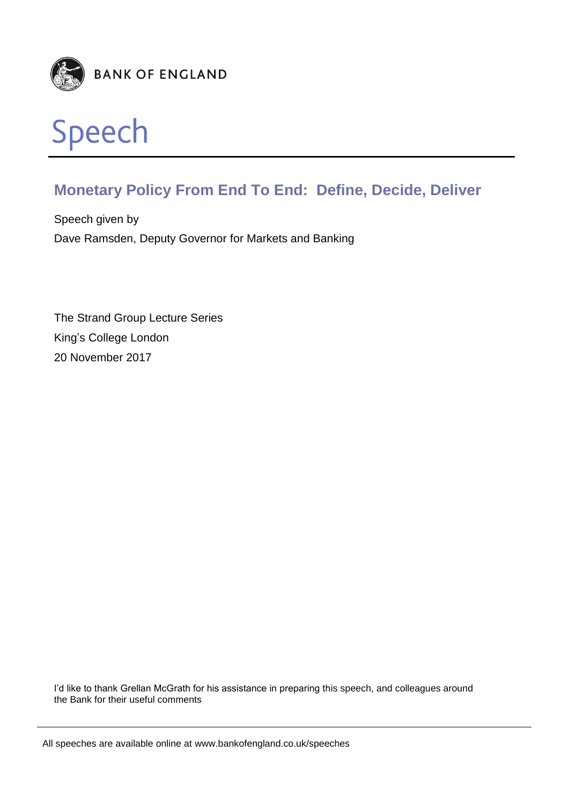

# **Monetary Policy From End To End: Define, Decide, Deliver**

Speech given by Dave Ramsden, Deputy Governor for Markets and Banking

The Strand Group Lecture Series King's College London 20 November 2017

I'd like to thank Grellan McGrath for his assistance in preparing this speech, and colleagues around the Bank for their useful comments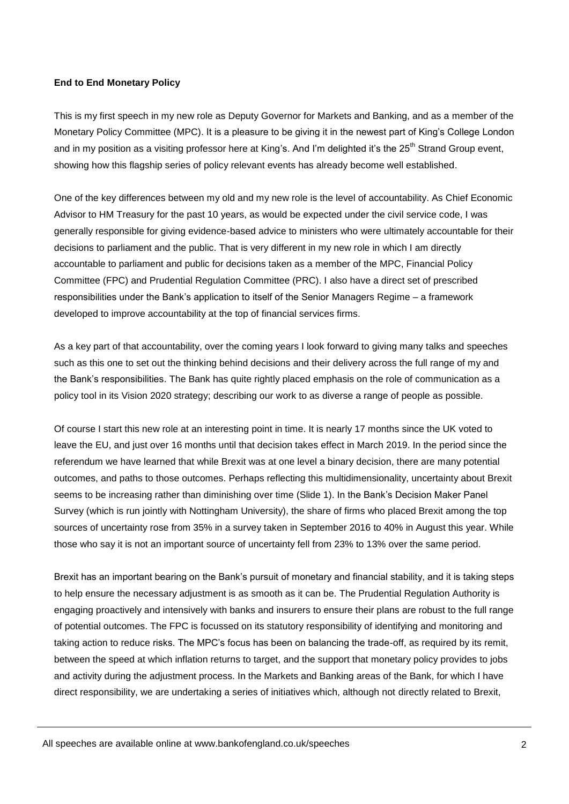### **End to End Monetary Policy**

This is my first speech in my new role as Deputy Governor for Markets and Banking, and as a member of the Monetary Policy Committee (MPC). It is a pleasure to be giving it in the newest part of King's College London and in my position as a visiting professor here at King's. And I'm delighted it's the 25<sup>th</sup> Strand Group event, showing how this flagship series of policy relevant events has already become well established.

One of the key differences between my old and my new role is the level of accountability. As Chief Economic Advisor to HM Treasury for the past 10 years, as would be expected under the civil service code, I was generally responsible for giving evidence-based advice to ministers who were ultimately accountable for their decisions to parliament and the public. That is very different in my new role in which I am directly accountable to parliament and public for decisions taken as a member of the MPC, Financial Policy Committee (FPC) and Prudential Regulation Committee (PRC). I also have a direct set of prescribed responsibilities under the Bank's application to itself of the Senior Managers Regime – a framework developed to improve accountability at the top of financial services firms.

As a key part of that accountability, over the coming years I look forward to giving many talks and speeches such as this one to set out the thinking behind decisions and their delivery across the full range of my and the Bank's responsibilities. The Bank has quite rightly placed emphasis on the role of communication as a policy tool in its Vision 2020 strategy; describing our work to as diverse a range of people as possible.

Of course I start this new role at an interesting point in time. It is nearly 17 months since the UK voted to leave the EU, and just over 16 months until that decision takes effect in March 2019. In the period since the referendum we have learned that while Brexit was at one level a binary decision, there are many potential outcomes, and paths to those outcomes. Perhaps reflecting this multidimensionality, uncertainty about Brexit seems to be increasing rather than diminishing over time (Slide 1). In the Bank's Decision Maker Panel Survey (which is run jointly with Nottingham University), the share of firms who placed Brexit among the top sources of uncertainty rose from 35% in a survey taken in September 2016 to 40% in August this year. While those who say it is not an important source of uncertainty fell from 23% to 13% over the same period.

Brexit has an important bearing on the Bank's pursuit of monetary and financial stability, and it is taking steps to help ensure the necessary adjustment is as smooth as it can be. The Prudential Regulation Authority is engaging proactively and intensively with banks and insurers to ensure their plans are robust to the full range of potential outcomes. The FPC is focussed on its statutory responsibility of identifying and monitoring and taking action to reduce risks. The MPC's focus has been on balancing the trade-off, as required by its remit, between the speed at which inflation returns to target, and the support that monetary policy provides to jobs and activity during the adjustment process. In the Markets and Banking areas of the Bank, for which I have direct responsibility, we are undertaking a series of initiatives which, although not directly related to Brexit,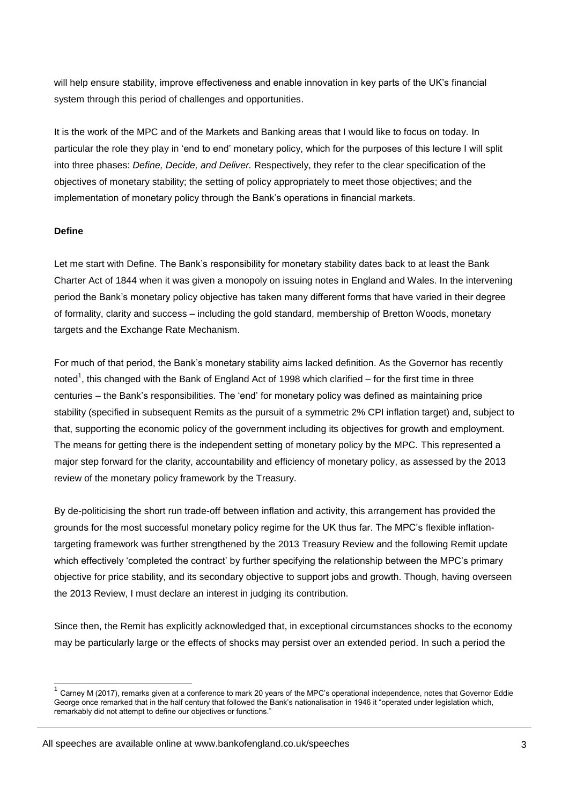will help ensure stability, improve effectiveness and enable innovation in key parts of the UK's financial system through this period of challenges and opportunities.

It is the work of the MPC and of the Markets and Banking areas that I would like to focus on today. In particular the role they play in 'end to end' monetary policy, which for the purposes of this lecture I will split into three phases: *Define, Decide, and Deliver.* Respectively, they refer to the clear specification of the objectives of monetary stability; the setting of policy appropriately to meet those objectives; and the implementation of monetary policy through the Bank's operations in financial markets.

#### **Define**

-

Let me start with Define. The Bank's responsibility for monetary stability dates back to at least the Bank Charter Act of 1844 when it was given a monopoly on issuing notes in England and Wales. In the intervening period the Bank's monetary policy objective has taken many different forms that have varied in their degree of formality, clarity and success – including the gold standard, membership of Bretton Woods, monetary targets and the Exchange Rate Mechanism.

For much of that period, the Bank's monetary stability aims lacked definition. As the Governor has recently noted<sup>1</sup>, this changed with the Bank of England Act of 1998 which clarified – for the first time in three centuries – the Bank's responsibilities. The 'end' for monetary policy was defined as maintaining price stability (specified in subsequent Remits as the pursuit of a symmetric 2% CPI inflation target) and, subject to that, supporting the economic policy of the government including its objectives for growth and employment. The means for getting there is the independent setting of monetary policy by the MPC. This represented a major step forward for the clarity, accountability and efficiency of monetary policy, as assessed by the 2013 review of the monetary policy framework by the Treasury.

By de-politicising the short run trade-off between inflation and activity, this arrangement has provided the grounds for the most successful monetary policy regime for the UK thus far. The MPC's flexible inflationtargeting framework was further strengthened by the 2013 Treasury Review and the following Remit update which effectively 'completed the contract' by further specifying the relationship between the MPC's primary objective for price stability, and its secondary objective to support jobs and growth. Though, having overseen the 2013 Review, I must declare an interest in judging its contribution.

Since then, the Remit has explicitly acknowledged that, in exceptional circumstances shocks to the economy may be particularly large or the effects of shocks may persist over an extended period. In such a period the

<sup>1</sup> Carney M (2017), remarks given at a conference to mark 20 years of the MPC's operational independence, notes that Governor Eddie George once remarked that in the half century that followed the Bank's nationalisation in 1946 it "operated under legislation which, remarkably did not attempt to define our objectives or functions."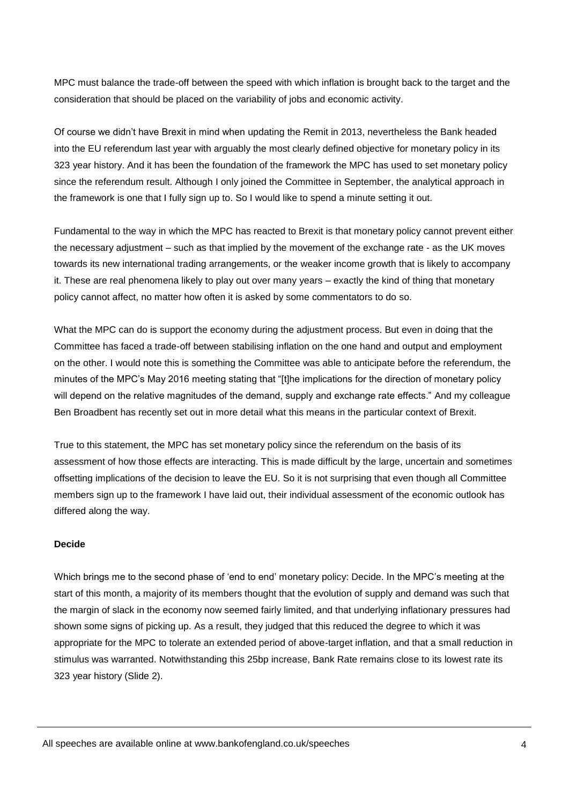MPC must balance the trade-off between the speed with which inflation is brought back to the target and the consideration that should be placed on the variability of jobs and economic activity.

Of course we didn't have Brexit in mind when updating the Remit in 2013, nevertheless the Bank headed into the EU referendum last year with arguably the most clearly defined objective for monetary policy in its 323 year history. And it has been the foundation of the framework the MPC has used to set monetary policy since the referendum result. Although I only joined the Committee in September, the analytical approach in the framework is one that I fully sign up to. So I would like to spend a minute setting it out.

Fundamental to the way in which the MPC has reacted to Brexit is that monetary policy cannot prevent either the necessary adjustment – such as that implied by the movement of the exchange rate - as the UK moves towards its new international trading arrangements, or the weaker income growth that is likely to accompany it. These are real phenomena likely to play out over many years – exactly the kind of thing that monetary policy cannot affect, no matter how often it is asked by some commentators to do so.

What the MPC can do is support the economy during the adjustment process. But even in doing that the Committee has faced a trade-off between stabilising inflation on the one hand and output and employment on the other. I would note this is something the Committee was able to anticipate before the referendum, the minutes of the MPC's May 2016 meeting stating that "[t]he implications for the direction of monetary policy will depend on the relative magnitudes of the demand, supply and exchange rate effects." And my colleague Ben Broadbent has recently set out in more detail what this means in the particular context of Brexit.

True to this statement, the MPC has set monetary policy since the referendum on the basis of its assessment of how those effects are interacting. This is made difficult by the large, uncertain and sometimes offsetting implications of the decision to leave the EU. So it is not surprising that even though all Committee members sign up to the framework I have laid out, their individual assessment of the economic outlook has differed along the way.

#### **Decide**

Which brings me to the second phase of 'end to end' monetary policy: Decide. In the MPC's meeting at the start of this month, a majority of its members thought that the evolution of supply and demand was such that the margin of slack in the economy now seemed fairly limited, and that underlying inflationary pressures had shown some signs of picking up. As a result, they judged that this reduced the degree to which it was appropriate for the MPC to tolerate an extended period of above-target inflation, and that a small reduction in stimulus was warranted. Notwithstanding this 25bp increase, Bank Rate remains close to its lowest rate its 323 year history (Slide 2).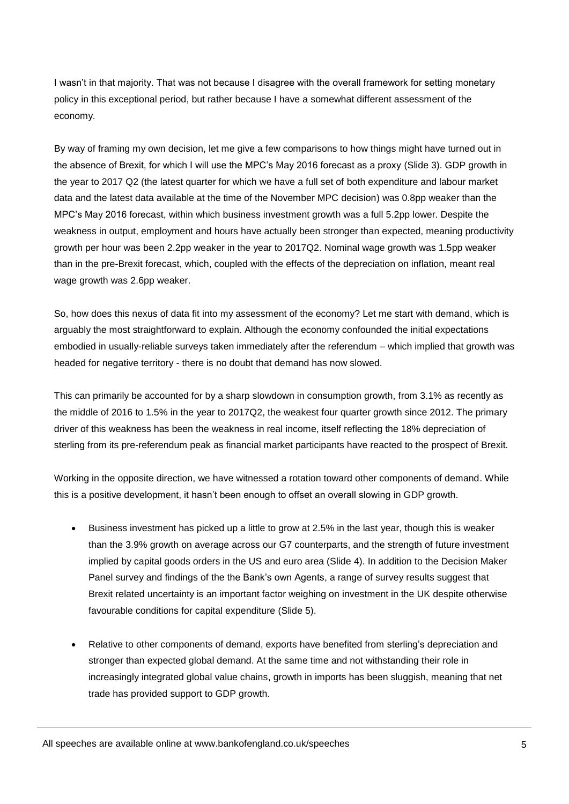I wasn't in that majority. That was not because I disagree with the overall framework for setting monetary policy in this exceptional period, but rather because I have a somewhat different assessment of the economy.

By way of framing my own decision, let me give a few comparisons to how things might have turned out in the absence of Brexit, for which I will use the MPC's May 2016 forecast as a proxy (Slide 3). GDP growth in the year to 2017 Q2 (the latest quarter for which we have a full set of both expenditure and labour market data and the latest data available at the time of the November MPC decision) was 0.8pp weaker than the MPC's May 2016 forecast, within which business investment growth was a full 5.2pp lower. Despite the weakness in output, employment and hours have actually been stronger than expected, meaning productivity growth per hour was been 2.2pp weaker in the year to 2017Q2. Nominal wage growth was 1.5pp weaker than in the pre-Brexit forecast, which, coupled with the effects of the depreciation on inflation, meant real wage growth was 2.6pp weaker.

So, how does this nexus of data fit into my assessment of the economy? Let me start with demand, which is arguably the most straightforward to explain. Although the economy confounded the initial expectations embodied in usually-reliable surveys taken immediately after the referendum – which implied that growth was headed for negative territory - there is no doubt that demand has now slowed.

This can primarily be accounted for by a sharp slowdown in consumption growth, from 3.1% as recently as the middle of 2016 to 1.5% in the year to 2017Q2, the weakest four quarter growth since 2012. The primary driver of this weakness has been the weakness in real income, itself reflecting the 18% depreciation of sterling from its pre-referendum peak as financial market participants have reacted to the prospect of Brexit.

Working in the opposite direction, we have witnessed a rotation toward other components of demand. While this is a positive development, it hasn't been enough to offset an overall slowing in GDP growth.

- Business investment has picked up a little to grow at 2.5% in the last year, though this is weaker than the 3.9% growth on average across our G7 counterparts, and the strength of future investment implied by capital goods orders in the US and euro area (Slide 4). In addition to the Decision Maker Panel survey and findings of the the Bank's own Agents, a range of survey results suggest that Brexit related uncertainty is an important factor weighing on investment in the UK despite otherwise favourable conditions for capital expenditure (Slide 5).
- Relative to other components of demand, exports have benefited from sterling's depreciation and stronger than expected global demand. At the same time and not withstanding their role in increasingly integrated global value chains, growth in imports has been sluggish, meaning that net trade has provided support to GDP growth.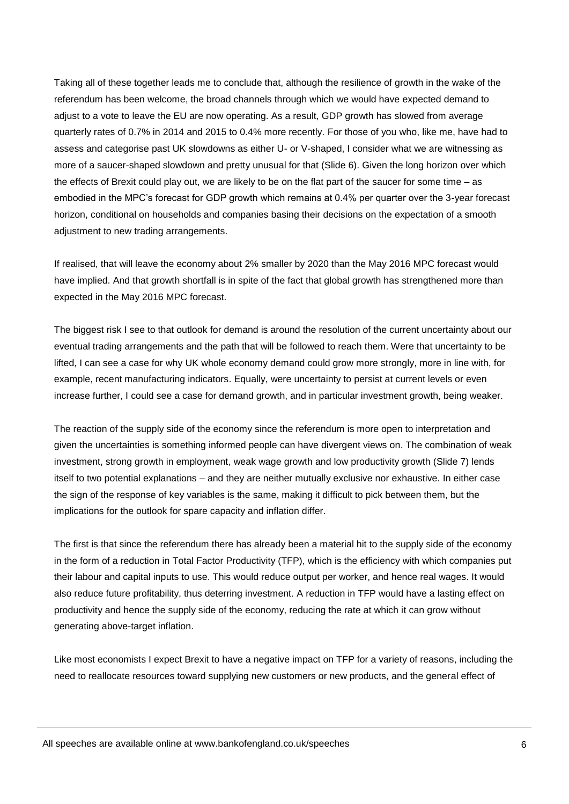Taking all of these together leads me to conclude that, although the resilience of growth in the wake of the referendum has been welcome, the broad channels through which we would have expected demand to adjust to a vote to leave the EU are now operating. As a result, GDP growth has slowed from average quarterly rates of 0.7% in 2014 and 2015 to 0.4% more recently. For those of you who, like me, have had to assess and categorise past UK slowdowns as either U- or V-shaped, I consider what we are witnessing as more of a saucer-shaped slowdown and pretty unusual for that (Slide 6). Given the long horizon over which the effects of Brexit could play out, we are likely to be on the flat part of the saucer for some time – as embodied in the MPC's forecast for GDP growth which remains at 0.4% per quarter over the 3-year forecast horizon, conditional on households and companies basing their decisions on the expectation of a smooth adjustment to new trading arrangements.

If realised, that will leave the economy about 2% smaller by 2020 than the May 2016 MPC forecast would have implied. And that growth shortfall is in spite of the fact that global growth has strengthened more than expected in the May 2016 MPC forecast.

The biggest risk I see to that outlook for demand is around the resolution of the current uncertainty about our eventual trading arrangements and the path that will be followed to reach them. Were that uncertainty to be lifted, I can see a case for why UK whole economy demand could grow more strongly, more in line with, for example, recent manufacturing indicators. Equally, were uncertainty to persist at current levels or even increase further, I could see a case for demand growth, and in particular investment growth, being weaker.

The reaction of the supply side of the economy since the referendum is more open to interpretation and given the uncertainties is something informed people can have divergent views on. The combination of weak investment, strong growth in employment, weak wage growth and low productivity growth (Slide 7) lends itself to two potential explanations – and they are neither mutually exclusive nor exhaustive. In either case the sign of the response of key variables is the same, making it difficult to pick between them, but the implications for the outlook for spare capacity and inflation differ.

The first is that since the referendum there has already been a material hit to the supply side of the economy in the form of a reduction in Total Factor Productivity (TFP), which is the efficiency with which companies put their labour and capital inputs to use. This would reduce output per worker, and hence real wages. It would also reduce future profitability, thus deterring investment. A reduction in TFP would have a lasting effect on productivity and hence the supply side of the economy, reducing the rate at which it can grow without generating above-target inflation.

Like most economists I expect Brexit to have a negative impact on TFP for a variety of reasons, including the need to reallocate resources toward supplying new customers or new products, and the general effect of

All speeches are available online at www.bankofengland.co.uk/speeches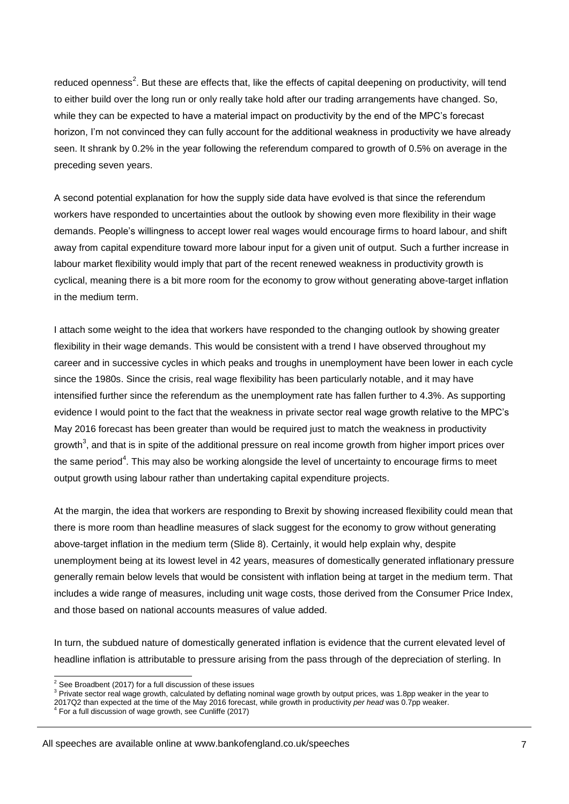reduced openness<sup>2</sup>. But these are effects that, like the effects of capital deepening on productivity, will tend to either build over the long run or only really take hold after our trading arrangements have changed. So, while they can be expected to have a material impact on productivity by the end of the MPC's forecast horizon, I'm not convinced they can fully account for the additional weakness in productivity we have already seen. It shrank by 0.2% in the year following the referendum compared to growth of 0.5% on average in the preceding seven years.

A second potential explanation for how the supply side data have evolved is that since the referendum workers have responded to uncertainties about the outlook by showing even more flexibility in their wage demands. People's willingness to accept lower real wages would encourage firms to hoard labour, and shift away from capital expenditure toward more labour input for a given unit of output. Such a further increase in labour market flexibility would imply that part of the recent renewed weakness in productivity growth is cyclical, meaning there is a bit more room for the economy to grow without generating above-target inflation in the medium term.

I attach some weight to the idea that workers have responded to the changing outlook by showing greater flexibility in their wage demands. This would be consistent with a trend I have observed throughout my career and in successive cycles in which peaks and troughs in unemployment have been lower in each cycle since the 1980s. Since the crisis, real wage flexibility has been particularly notable, and it may have intensified further since the referendum as the unemployment rate has fallen further to 4.3%. As supporting evidence I would point to the fact that the weakness in private sector real wage growth relative to the MPC's May 2016 forecast has been greater than would be required just to match the weakness in productivity growth<sup>3</sup>, and that is in spite of the additional pressure on real income growth from higher import prices over the same period<sup>4</sup>. This may also be working alongside the level of uncertainty to encourage firms to meet output growth using labour rather than undertaking capital expenditure projects.

At the margin, the idea that workers are responding to Brexit by showing increased flexibility could mean that there is more room than headline measures of slack suggest for the economy to grow without generating above-target inflation in the medium term (Slide 8). Certainly, it would help explain why, despite unemployment being at its lowest level in 42 years, measures of domestically generated inflationary pressure generally remain below levels that would be consistent with inflation being at target in the medium term. That includes a wide range of measures, including unit wage costs, those derived from the Consumer Price Index, and those based on national accounts measures of value added.

In turn, the subdued nature of domestically generated inflation is evidence that the current elevated level of headline inflation is attributable to pressure arising from the pass through of the depreciation of sterling. In

1

 $2$  See Broadbent (2017) for a full discussion of these issues

<sup>3</sup> Private sector real wage growth, calculated by deflating nominal wage growth by output prices, was 1.8pp weaker in the year to

<sup>2017</sup>Q2 than expected at the time of the May 2016 forecast, while growth in productivity *per head* was 0.7pp weaker. 4 For a full discussion of wage growth, see Cunliffe (2017)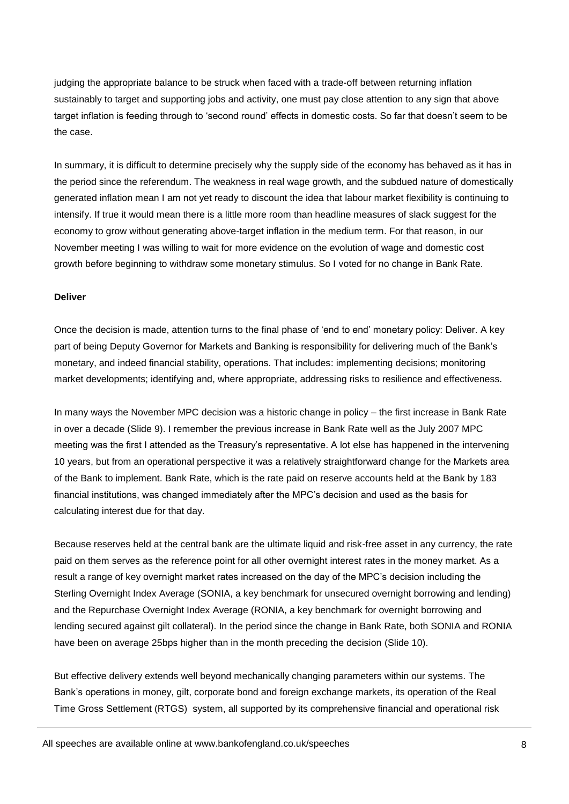judging the appropriate balance to be struck when faced with a trade-off between returning inflation sustainably to target and supporting jobs and activity, one must pay close attention to any sign that above target inflation is feeding through to 'second round' effects in domestic costs. So far that doesn't seem to be the case.

In summary, it is difficult to determine precisely why the supply side of the economy has behaved as it has in the period since the referendum. The weakness in real wage growth, and the subdued nature of domestically generated inflation mean I am not yet ready to discount the idea that labour market flexibility is continuing to intensify. If true it would mean there is a little more room than headline measures of slack suggest for the economy to grow without generating above-target inflation in the medium term. For that reason, in our November meeting I was willing to wait for more evidence on the evolution of wage and domestic cost growth before beginning to withdraw some monetary stimulus. So I voted for no change in Bank Rate.

#### **Deliver**

Once the decision is made, attention turns to the final phase of 'end to end' monetary policy: Deliver. A key part of being Deputy Governor for Markets and Banking is responsibility for delivering much of the Bank's monetary, and indeed financial stability, operations. That includes: implementing decisions; monitoring market developments; identifying and, where appropriate, addressing risks to resilience and effectiveness.

In many ways the November MPC decision was a historic change in policy – the first increase in Bank Rate in over a decade (Slide 9). I remember the previous increase in Bank Rate well as the July 2007 MPC meeting was the first I attended as the Treasury's representative. A lot else has happened in the intervening 10 years, but from an operational perspective it was a relatively straightforward change for the Markets area of the Bank to implement. Bank Rate, which is the rate paid on reserve accounts held at the Bank by 183 financial institutions, was changed immediately after the MPC's decision and used as the basis for calculating interest due for that day.

Because reserves held at the central bank are the ultimate liquid and risk-free asset in any currency, the rate paid on them serves as the reference point for all other overnight interest rates in the money market. As a result a range of key overnight market rates increased on the day of the MPC's decision including the Sterling Overnight Index Average (SONIA, a key benchmark for unsecured overnight borrowing and lending) and the Repurchase Overnight Index Average (RONIA, a key benchmark for overnight borrowing and lending secured against gilt collateral). In the period since the change in Bank Rate, both SONIA and RONIA have been on average 25bps higher than in the month preceding the decision (Slide 10).

But effective delivery extends well beyond mechanically changing parameters within our systems. The Bank's operations in money, gilt, corporate bond and foreign exchange markets, its operation of the Real Time Gross Settlement (RTGS) system, all supported by its comprehensive financial and operational risk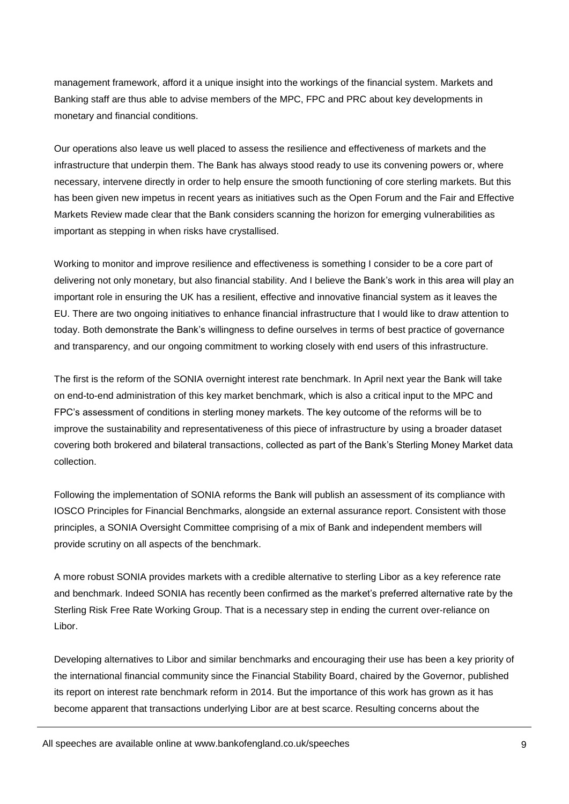management framework, afford it a unique insight into the workings of the financial system. Markets and Banking staff are thus able to advise members of the MPC, FPC and PRC about key developments in monetary and financial conditions.

Our operations also leave us well placed to assess the resilience and effectiveness of markets and the infrastructure that underpin them. The Bank has always stood ready to use its convening powers or, where necessary, intervene directly in order to help ensure the smooth functioning of core sterling markets. But this has been given new impetus in recent years as initiatives such as the Open Forum and the Fair and Effective Markets Review made clear that the Bank considers scanning the horizon for emerging vulnerabilities as important as stepping in when risks have crystallised.

Working to monitor and improve resilience and effectiveness is something I consider to be a core part of delivering not only monetary, but also financial stability. And I believe the Bank's work in this area will play an important role in ensuring the UK has a resilient, effective and innovative financial system as it leaves the EU. There are two ongoing initiatives to enhance financial infrastructure that I would like to draw attention to today. Both demonstrate the Bank's willingness to define ourselves in terms of best practice of governance and transparency, and our ongoing commitment to working closely with end users of this infrastructure.

The first is the reform of the SONIA overnight interest rate benchmark. In April next year the Bank will take on end-to-end administration of this key market benchmark, which is also a critical input to the MPC and FPC's assessment of conditions in sterling money markets. The key outcome of the reforms will be to improve the sustainability and representativeness of this piece of infrastructure by using a broader dataset covering both brokered and bilateral transactions, collected as part of the Bank's Sterling Money Market data collection.

Following the implementation of SONIA reforms the Bank will publish an assessment of its compliance with IOSCO Principles for Financial Benchmarks, alongside an external assurance report. Consistent with those principles, a SONIA Oversight Committee comprising of a mix of Bank and independent members will provide scrutiny on all aspects of the benchmark.

A more robust SONIA provides markets with a credible alternative to sterling Libor as a key reference rate and benchmark. Indeed SONIA has recently been confirmed as the market's preferred alternative rate by the Sterling Risk Free Rate Working Group. That is a necessary step in ending the current over-reliance on Libor.

Developing alternatives to Libor and similar benchmarks and encouraging their use has been a key priority of the international financial community since the Financial Stability Board, chaired by the Governor, published its report on interest rate benchmark reform in 2014. But the importance of this work has grown as it has become apparent that transactions underlying Libor are at best scarce. Resulting concerns about the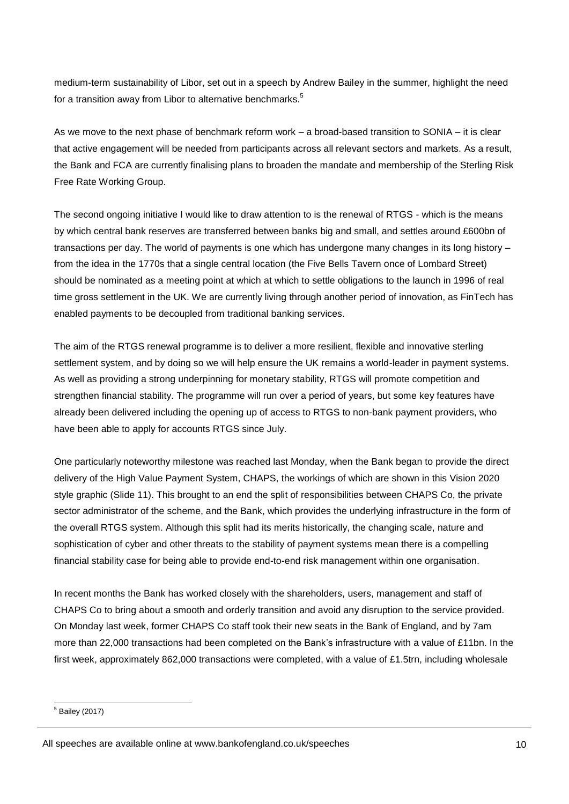medium-term sustainability of Libor, set out in a speech by Andrew Bailey in the summer, highlight the need for a transition away from Libor to alternative benchmarks. $^{\rm 5}$ 

As we move to the next phase of benchmark reform work – a broad-based transition to SONIA – it is clear that active engagement will be needed from participants across all relevant sectors and markets. As a result, the Bank and FCA are currently finalising plans to broaden the mandate and membership of the Sterling Risk Free Rate Working Group.

The second ongoing initiative I would like to draw attention to is the renewal of RTGS - which is the means by which central bank reserves are transferred between banks big and small, and settles around £600bn of transactions per day. The world of payments is one which has undergone many changes in its long history – from the idea in the 1770s that a single central location (the Five Bells Tavern once of Lombard Street) should be nominated as a meeting point at which at which to settle obligations to the launch in 1996 of real time gross settlement in the UK. We are currently living through another period of innovation, as FinTech has enabled payments to be decoupled from traditional banking services.

The aim of the RTGS renewal programme is to deliver a more resilient, flexible and innovative sterling settlement system, and by doing so we will help ensure the UK remains a world-leader in payment systems. As well as providing a strong underpinning for monetary stability, RTGS will promote competition and strengthen financial stability. The programme will run over a period of years, but some key features have already been delivered including the opening up of access to RTGS to non-bank payment providers, who have been able to apply for accounts RTGS since July.

One particularly noteworthy milestone was reached last Monday, when the Bank began to provide the direct delivery of the High Value Payment System, CHAPS, the workings of which are shown in this Vision 2020 style graphic (Slide 11). This brought to an end the split of responsibilities between CHAPS Co, the private sector administrator of the scheme, and the Bank, which provides the underlying infrastructure in the form of the overall RTGS system. Although this split had its merits historically, the changing scale, nature and sophistication of cyber and other threats to the stability of payment systems mean there is a compelling financial stability case for being able to provide end-to-end risk management within one organisation.

In recent months the Bank has worked closely with the shareholders, users, management and staff of CHAPS Co to bring about a smooth and orderly transition and avoid any disruption to the service provided. On Monday last week, former CHAPS Co staff took their new seats in the Bank of England, and by 7am more than 22,000 transactions had been completed on the Bank's infrastructure with a value of £11bn. In the first week, approximately 862,000 transactions were completed, with a value of £1.5trn, including wholesale

<sup>1</sup>  $<sup>5</sup>$  Bailey (2017)</sup>

All speeches are available online at www.bankofengland.co.uk/speeches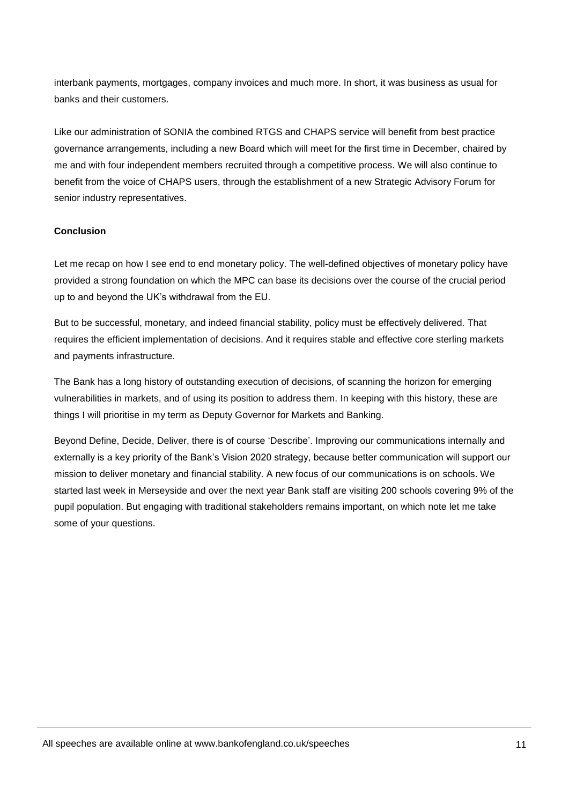interbank payments, mortgages, company invoices and much more. In short, it was business as usual for banks and their customers.

Like our administration of SONIA the combined RTGS and CHAPS service will benefit from best practice governance arrangements, including a new Board which will meet for the first time in December, chaired by me and with four independent members recruited through a competitive process. We will also continue to benefit from the voice of CHAPS users, through the establishment of a new Strategic Advisory Forum for senior industry representatives.

#### **Conclusion**

Let me recap on how I see end to end monetary policy. The well-defined objectives of monetary policy have provided a strong foundation on which the MPC can base its decisions over the course of the crucial period up to and beyond the UK's withdrawal from the EU.

But to be successful, monetary, and indeed financial stability, policy must be effectively delivered. That requires the efficient implementation of decisions. And it requires stable and effective core sterling markets and payments infrastructure.

The Bank has a long history of outstanding execution of decisions, of scanning the horizon for emerging vulnerabilities in markets, and of using its position to address them. In keeping with this history, these are things I will prioritise in my term as Deputy Governor for Markets and Banking.

Beyond Define, Decide, Deliver, there is of course 'Describe'. Improving our communications internally and externally is a key priority of the Bank's Vision 2020 strategy, because better communication will support our mission to deliver monetary and financial stability. A new focus of our communications is on schools. We started last week in Merseyside and over the next year Bank staff are visiting 200 schools covering 9% of the pupil population. But engaging with traditional stakeholders remains important, on which note let me take some of your questions.